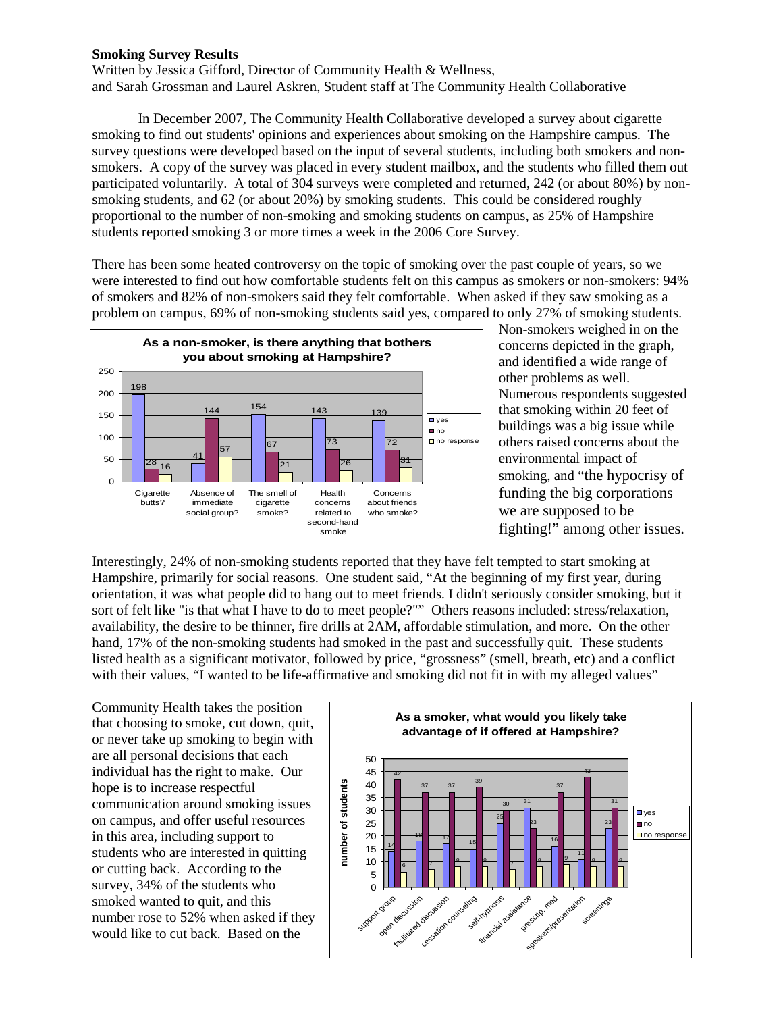## **Smoking Survey Results**

Written by Jessica Gifford, Director of Community Health & Wellness, and Sarah Grossman and Laurel Askren, Student staff at The Community Health Collaborative

In December 2007, The Community Health Collaborative developed a survey about cigarette smoking to find out students' opinions and experiences about smoking on the Hampshire campus. The survey questions were developed based on the input of several students, including both smokers and nonsmokers. A copy of the survey was placed in every student mailbox, and the students who filled them out participated voluntarily. A total of 304 surveys were completed and returned, 242 (or about 80%) by nonsmoking students, and 62 (or about 20%) by smoking students. This could be considered roughly proportional to the number of non-smoking and smoking students on campus, as 25% of Hampshire students reported smoking 3 or more times a week in the 2006 Core Survey.

There has been some heated controversy on the topic of smoking over the past couple of years, so we were interested to find out how comfortable students felt on this campus as smokers or non-smokers: 94% of smokers and 82% of non-smokers said they felt comfortable. When asked if they saw smoking as a problem on campus, 69% of non-smoking students said yes, compared to only 27% of smoking students.



Non-smokers weighed in on the concerns depicted in the graph, and identified a wide range of other problems as well. Numerous respondents suggested that smoking within 20 feet of buildings was a big issue while others raised concerns about the environmental impact of smoking, and "the hypocrisy of funding the big corporations we are supposed to be fighting!" among other issues.

Interestingly, 24% of non-smoking students reported that they have felt tempted to start smoking at Hampshire, primarily for social reasons. One student said, "At the beginning of my first year, during orientation, it was what people did to hang out to meet friends. I didn't seriously consider smoking, but it sort of felt like "is that what I have to do to meet people?"" Others reasons included: stress/relaxation, availability, the desire to be thinner, fire drills at 2AM, affordable stimulation, and more. On the other hand, 17% of the non-smoking students had smoked in the past and successfully quit. These students listed health as a significant motivator, followed by price, "grossness" (smell, breath, etc) and a conflict with their values, "I wanted to be life-affirmative and smoking did not fit in with my alleged values"

Community Health takes the position that choosing to smoke, cut down, quit, or never take up smoking to begin with are all personal decisions that each individual has the right to make. Our hope is to increase respectful communication around smoking issues on campus, and offer useful resources in this area, including support to students who are interested in quitting or cutting back. According to the survey, 34% of the students who smoked wanted to quit, and this number rose to 52% when asked if they would like to cut back. Based on the